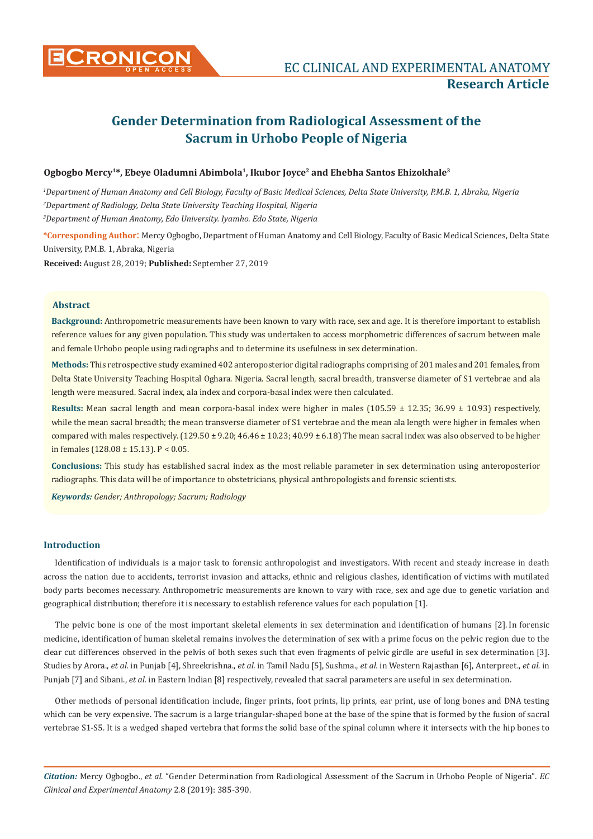

# **CONICON EXPERIMENTAL ANATOMY Research Article**

# **Gender Determination from Radiological Assessment of the Sacrum in Urhobo People of Nigeria**

# **Ogbogbo Mercy1\*, Ebeye Oladumni Abimbola1, Ikubor Joyce2 and Ehebha Santos Ehizokhale3**

*1 Department of Human Anatomy and Cell Biology, Faculty of Basic Medical Sciences, Delta State University, P.M.B. 1, Abraka, Nigeria 2 Department of Radiology, Delta State University Teaching Hospital, Nigeria 3 Department of Human Anatomy, Edo University. Iyamho. Edo State, Nigeria*

**\*Corresponding Author**: Mercy Ogbogbo, Department of Human Anatomy and Cell Biology, Faculty of Basic Medical Sciences, Delta State University, P.M.B. 1, Abraka, Nigeria

**Received:** August 28, 2019; **Published:** September 27, 2019

## **Abstract**

**Background:** Anthropometric measurements have been known to vary with race, sex and age. It is therefore important to establish reference values for any given population. This study was undertaken to access morphometric differences of sacrum between male and female Urhobo people using radiographs and to determine its usefulness in sex determination.

**Methods:** This retrospective study examined 402 anteroposterior digital radiographs comprising of 201 males and 201 females, from Delta State University Teaching Hospital Oghara. Nigeria. Sacral length, sacral breadth, transverse diameter of S1 vertebrae and ala length were measured. Sacral index, ala index and corpora-basal index were then calculated.

**Results:** Mean sacral length and mean corpora-basal index were higher in males (105.59 ± 12.35; 36.99 ± 10.93) respectively, while the mean sacral breadth; the mean transverse diameter of S1 vertebrae and the mean ala length were higher in females when compared with males respectively.  $(129.50 \pm 9.20; 46.46 \pm 10.23; 40.99 \pm 6.18)$  The mean sacral index was also observed to be higher in females (128.08 ± 15.13). P < 0.05.

**Conclusions:** This study has established sacral index as the most reliable parameter in sex determination using anteroposterior radiographs. This data will be of importance to obstetricians, physical anthropologists and forensic scientists.

*Keywords: Gender; Anthropology; Sacrum; Radiology*

#### **Introduction**

Identification of individuals is a major task to forensic anthropologist and investigators. With recent and steady increase in death across the nation due to accidents, terrorist invasion and attacks, ethnic and religious clashes, identification of victims with mutilated body parts becomes necessary. Anthropometric measurements are known to vary with race, sex and age due to genetic variation and geographical distribution; therefore it is necessary to establish reference values for each population [1].

The pelvic bone is one of the most important skeletal elements in sex determination and identification of humans [2]. In forensic medicine, identification of human skeletal remains involves the determination of sex with a prime focus on the pelvic region due to the clear cut differences observed in the pelvis of both sexes such that even fragments of pelvic girdle are useful in sex determination [3]. Studies by Arora., *et al.* in Punjab [4], Shreekrishna., *et al.* in Tamil Nadu [5], Sushma., *et al.* in Western Rajasthan [6], Anterpreet., *et al.* in Punjab [7] and Sibani., *et al.* in Eastern Indian [8] respectively, revealed that sacral parameters are useful in sex determination.

Other methods of personal identification include, finger prints, foot prints, lip prints, ear print, use of long bones and DNA testing which can be very expensive. The sacrum is a large triangular-shaped bone at the base of the spine that is formed by the fusion of sacral vertebrae S1-S5. It is a wedged shaped vertebra that forms the solid base of the spinal column where it intersects with the hip bones to

*Citation:* Mercy Ogbogbo., *et al*. "Gender Determination from Radiological Assessment of the Sacrum in Urhobo People of Nigeria"*. EC Clinical and Experimental Anatomy* 2.8 (2019): 385-390.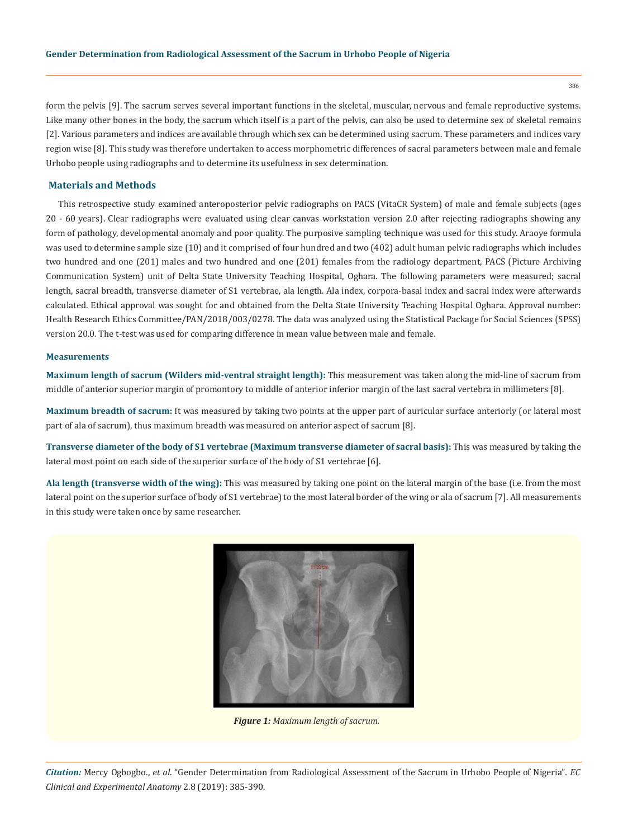form the pelvis [9]. The sacrum serves several important functions in the skeletal, muscular, nervous and female reproductive systems. Like many other bones in the body, the sacrum which itself is a part of the pelvis, can also be used to determine sex of skeletal remains [2]. Various parameters and indices are available through which sex can be determined using sacrum. These parameters and indices vary region wise [8]. This study was therefore undertaken to access morphometric differences of sacral parameters between male and female Urhobo people using radiographs and to determine its usefulness in sex determination.

# **Materials and Methods**

This retrospective study examined anteroposterior pelvic radiographs on PACS (VitaCR System) of male and female subjects (ages 20 - 60 years). Clear radiographs were evaluated using clear canvas workstation version 2.0 after rejecting radiographs showing any form of pathology, developmental anomaly and poor quality. The purposive sampling technique was used for this study. Araoye formula was used to determine sample size (10) and it comprised of four hundred and two (402) adult human pelvic radiographs which includes two hundred and one (201) males and two hundred and one (201) females from the radiology department, PACS (Picture Archiving Communication System) unit of Delta State University Teaching Hospital, Oghara. The following parameters were measured; sacral length, sacral breadth, transverse diameter of S1 vertebrae, ala length. Ala index, corpora-basal index and sacral index were afterwards calculated. Ethical approval was sought for and obtained from the Delta State University Teaching Hospital Oghara. Approval number: Health Research Ethics Committee/PAN/2018/003/0278. The data was analyzed using the Statistical Package for Social Sciences (SPSS) version 20.0. The t-test was used for comparing difference in mean value between male and female.

#### **Measurements**

**Maximum length of sacrum (Wilders mid-ventral straight length):** This measurement was taken along the mid-line of sacrum from middle of anterior superior margin of promontory to middle of anterior inferior margin of the last sacral vertebra in millimeters [8].

**Maximum breadth of sacrum:** It was measured by taking two points at the upper part of auricular surface anteriorly (or lateral most part of ala of sacrum), thus maximum breadth was measured on anterior aspect of sacrum [8].

**Transverse diameter of the body of S1 vertebrae (Maximum transverse diameter of sacral basis):** This was measured by taking the lateral most point on each side of the superior surface of the body of S1 vertebrae [6].

**Ala length (transverse width of the wing):** This was measured by taking one point on the lateral margin of the base (i.e. from the most lateral point on the superior surface of body of S1 vertebrae) to the most lateral border of the wing or ala of sacrum [7]. All measurements in this study were taken once by same researcher.



*Figure 1: Maximum length of sacrum.*

*Citation:* Mercy Ogbogbo., *et al*. "Gender Determination from Radiological Assessment of the Sacrum in Urhobo People of Nigeria"*. EC Clinical and Experimental Anatomy* 2.8 (2019): 385-390.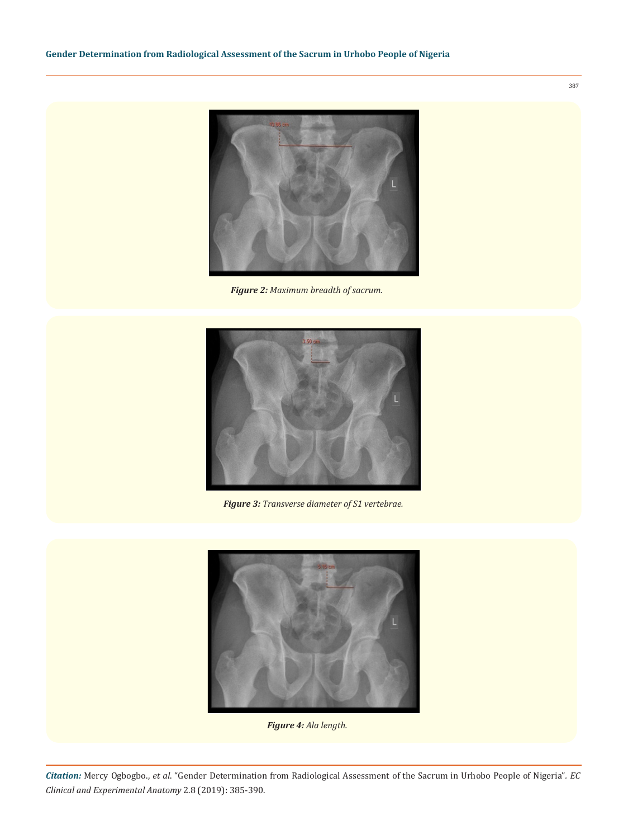

*Figure 2: Maximum breadth of sacrum.*



*Figure 3: Transverse diameter of S1 vertebrae.*



*Figure 4: Ala length.*

*Citation:* Mercy Ogbogbo., *et al*. "Gender Determination from Radiological Assessment of the Sacrum in Urhobo People of Nigeria"*. EC Clinical and Experimental Anatomy* 2.8 (2019): 385-390.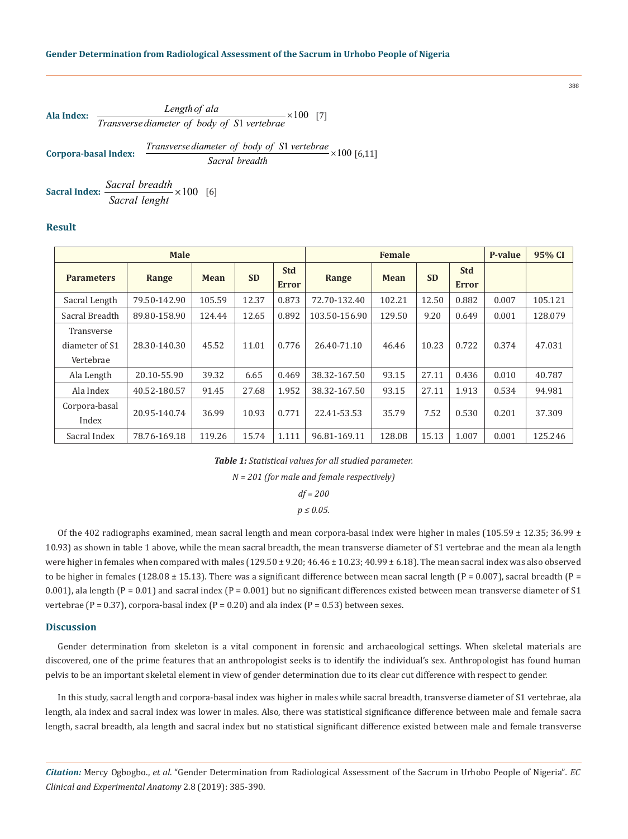| Ala Index:           | $\frac{Length of \, \text{ala}}{Transverse \, \text{diameter of} \, \text{body of} \, \text{S1} \, \text{vertex}} \times 100 \quad [7]$      |
|----------------------|----------------------------------------------------------------------------------------------------------------------------------------------|
| Corpora-basal Index: | $\frac{Transverse \, \text{diameter of} \, \text{body of} \, \text{S1} \, \text{vertex}}{Sacral \, \text{breadth}} \times 100 \quad [6, 11]$ |

**Sacral Index:**  $\frac{Sacral\ breadth}{S} \times 100$  [6] *Sacral lenght* ×

# **Result**

| <b>Male</b>                               |              |             |           |                            | <b>Female</b> |             |           |                            | P-value | 95% CI  |
|-------------------------------------------|--------------|-------------|-----------|----------------------------|---------------|-------------|-----------|----------------------------|---------|---------|
| <b>Parameters</b>                         | Range        | <b>Mean</b> | <b>SD</b> | <b>Std</b><br><b>Error</b> | Range         | <b>Mean</b> | <b>SD</b> | <b>Std</b><br><b>Error</b> |         |         |
| Sacral Length                             | 79.50-142.90 | 105.59      | 12.37     | 0.873                      | 72.70-132.40  | 102.21      | 12.50     | 0.882                      | 0.007   | 105.121 |
| Sacral Breadth                            | 89.80-158.90 | 124.44      | 12.65     | 0.892                      | 103.50-156.90 | 129.50      | 9.20      | 0.649                      | 0.001   | 128.079 |
| Transverse<br>diameter of S1<br>Vertebrae | 28.30-140.30 | 45.52       | 11.01     | 0.776                      | 26.40-71.10   | 46.46       | 10.23     | 0.722                      | 0.374   | 47.031  |
| Ala Length                                | 20.10-55.90  | 39.32       | 6.65      | 0.469                      | 38.32-167.50  | 93.15       | 27.11     | 0.436                      | 0.010   | 40.787  |
| Ala Index                                 | 40.52-180.57 | 91.45       | 27.68     | 1.952                      | 38.32-167.50  | 93.15       | 27.11     | 1.913                      | 0.534   | 94.981  |
| Corpora-basal<br>Index                    | 20.95-140.74 | 36.99       | 10.93     | 0.771                      | 22.41-53.53   | 35.79       | 7.52      | 0.530                      | 0.201   | 37.309  |
| Sacral Index                              | 78.76-169.18 | 119.26      | 15.74     | 1.111                      | 96.81-169.11  | 128.08      | 15.13     | 1.007                      | 0.001   | 125.246 |

*Table 1: Statistical values for all studied parameter.*

*N = 201 (for male and female respectively)*

*df = 200*

*p ≤ 0.05.*

Of the 402 radiographs examined, mean sacral length and mean corpora-basal index were higher in males (105.59  $\pm$  12.35; 36.99  $\pm$ 10.93) as shown in table 1 above, while the mean sacral breadth, the mean transverse diameter of S1 vertebrae and the mean ala length were higher in females when compared with males  $(129.50 \pm 9.20; 46.46 \pm 10.23; 40.99 \pm 6.18)$ . The mean sacral index was also observed to be higher in females (128.08  $\pm$  15.13). There was a significant difference between mean sacral length (P = 0.007), sacral breadth (P = 0.001), ala length  $(P = 0.01)$  and sacral index  $(P = 0.001)$  but no significant differences existed between mean transverse diameter of S1 vertebrae (P = 0.37), corpora-basal index (P = 0.20) and ala index (P = 0.53) between sexes.

# **Discussion**

Gender determination from skeleton is a vital component in forensic and archaeological settings. When skeletal materials are discovered, one of the prime features that an anthropologist seeks is to identify the individual's sex. Anthropologist has found human pelvis to be an important skeletal element in view of gender determination due to its clear cut difference with respect to gender.

In this study, sacral length and corpora-basal index was higher in males while sacral breadth, transverse diameter of S1 vertebrae, ala length, ala index and sacral index was lower in males. Also, there was statistical significance difference between male and female sacra length, sacral breadth, ala length and sacral index but no statistical significant difference existed between male and female transverse

*Citation:* Mercy Ogbogbo., *et al*. "Gender Determination from Radiological Assessment of the Sacrum in Urhobo People of Nigeria"*. EC Clinical and Experimental Anatomy* 2.8 (2019): 385-390.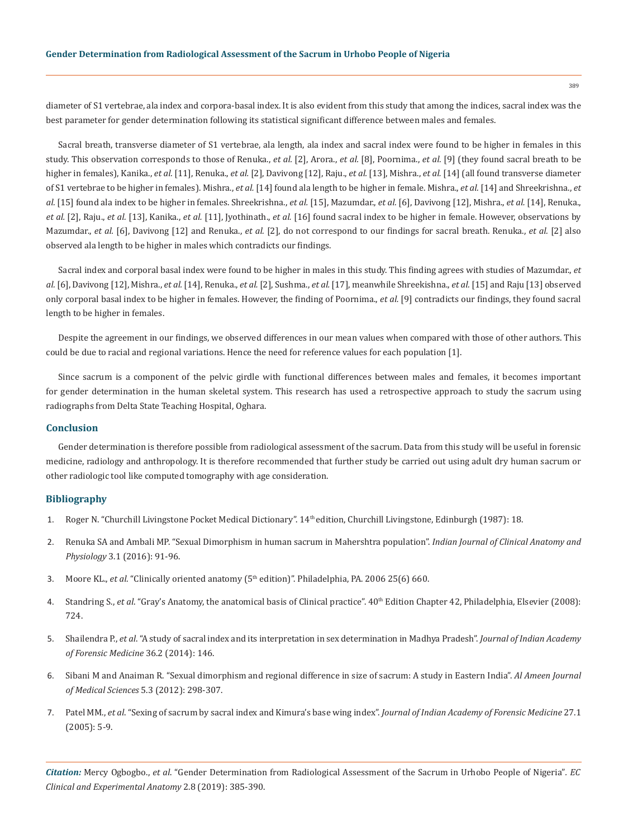diameter of S1 vertebrae, ala index and corpora-basal index. It is also evident from this study that among the indices, sacral index was the best parameter for gender determination following its statistical significant difference between males and females.

Sacral breath, transverse diameter of S1 vertebrae, ala length, ala index and sacral index were found to be higher in females in this study. This observation corresponds to those of Renuka., *et al.* [2], Arora., *et al.* [8], Poornima., *et al.* [9] (they found sacral breath to be higher in females), Kanika., *et al.* [11], Renuka., *et al.* [2], Davivong [12], Raju., *et al.* [13], Mishra., *et al.* [14] (all found transverse diameter of S1 vertebrae to be higher in females). Mishra., *et al.* [14] found ala length to be higher in female. Mishra., *et al.* [14] and Shreekrishna., *et al.* [15] found ala index to be higher in females. Shreekrishna., *et al.* [15], Mazumdar., *et al.* [6], Davivong [12], Mishra., *et al.* [14], Renuka., *et al.* [2], Raju., *et al.* [13], Kanika., *et al.* [11], Jyothinath., *et al.* [16] found sacral index to be higher in female. However, observations by Mazumdar., *et al.* [6], Davivong [12] and Renuka., *et al.* [2], do not correspond to our findings for sacral breath. Renuka., *et al.* [2] also observed ala length to be higher in males which contradicts our findings.

Sacral index and corporal basal index were found to be higher in males in this study. This finding agrees with studies of Mazumdar., *et al.* [6], Davivong [12], Mishra., *et al.* [14], Renuka., *et al.* [2], Sushma., *et al.* [17], meanwhile Shreekishna., *et al.* [15] and Raju [13] observed only corporal basal index to be higher in females. However, the finding of Poornima., *et al.* [9] contradicts our findings, they found sacral length to be higher in females.

Despite the agreement in our findings, we observed differences in our mean values when compared with those of other authors. This could be due to racial and regional variations. Hence the need for reference values for each population [1].

Since sacrum is a component of the pelvic girdle with functional differences between males and females, it becomes important for gender determination in the human skeletal system. This research has used a retrospective approach to study the sacrum using radiographs from Delta State Teaching Hospital, Oghara.

#### **Conclusion**

Gender determination is therefore possible from radiological assessment of the sacrum. Data from this study will be useful in forensic medicine, radiology and anthropology. It is therefore recommended that further study be carried out using adult dry human sacrum or other radiologic tool like computed tomography with age consideration.

# **Bibliography**

- 1. Roger N. "Churchill Livingstone Pocket Medical Dictionary". 14th edition, Churchill Livingstone, Edinburgh (1987): 18.
- 2. Renuka SA and Ambali MP. "Sexual Dimorphism in human sacrum in Mahershtra population". *Indian Journal of Clinical Anatomy and Physiology* 3.1 (2016): 91-96.
- 3. Moore KL., *et al.* "Clinically oriented anatomy (5<sup>th</sup> edition)". Philadelphia, PA. 2006 25(6) 660.
- 4. Standring S., *et al.* "Gray's Anatomy, the anatomical basis of Clinical practice". 40<sup>th</sup> Edition Chapter 42, Philadelphia, Elsevier (2008): 724.
- 5. Shailendra P., *et al*. "A study of sacral index and its interpretation in sex determination in Madhya Pradesh". *Journal of Indian Academy of Forensic Medicine* 36.2 (2014): 146.
- 6. Sibani M and Anaiman R. "Sexual dimorphism and regional difference in size of sacrum: A study in Eastern India". *Al Ameen Journal of Medical Sciences* 5.3 (2012): 298-307.
- 7. Patel MM., *et al*. "Sexing of sacrum by sacral index and Kimura's base wing index". *Journal of Indian Academy of Forensic Medicine* 27.1 (2005): 5-9.

*Citation:* Mercy Ogbogbo., *et al*. "Gender Determination from Radiological Assessment of the Sacrum in Urhobo People of Nigeria"*. EC Clinical and Experimental Anatomy* 2.8 (2019): 385-390.